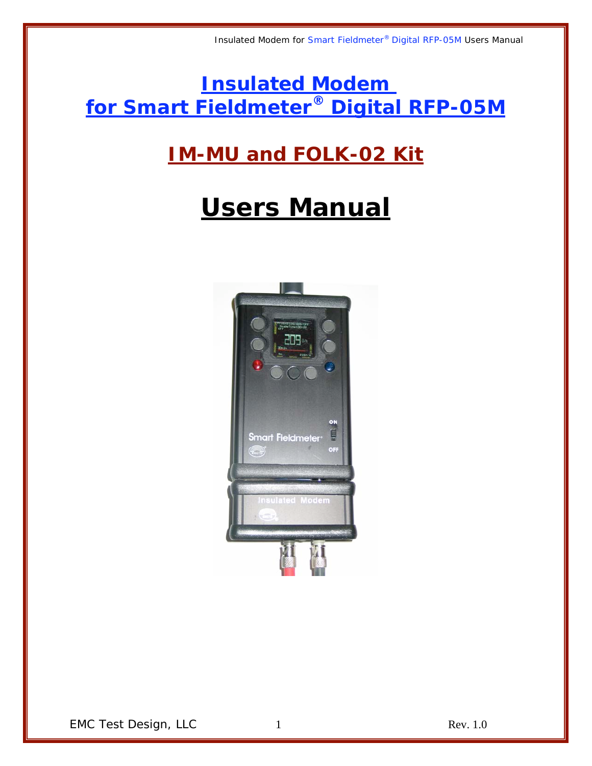**Insulated Modem for Smart Fieldmeter® Digital RFP-05M**

## **IM-MU and FOLK-02 Kit**

# **Users Manual**

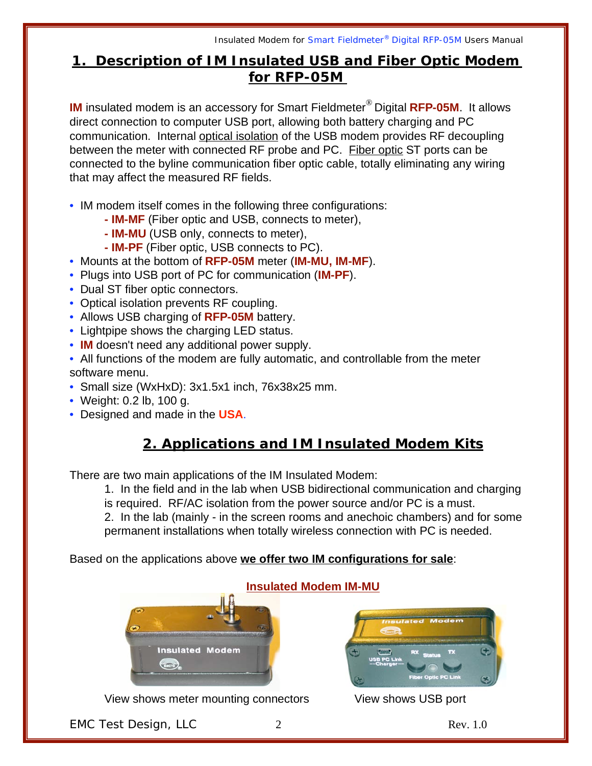Insulated Modem for Smart Fieldmeter® Digital RFP-05M Users Manual

#### **1. Description of IM Insulated USB and Fiber Optic Modem for RFP-05M**

**IM** insulated modem is an accessory for Smart Fieldmeter® Digital **RFP-05M**. It allows direct connection to computer USB port, allowing both battery charging and PC communication. Internal optical isolation of the USB modem provides RF decoupling between the meter with connected RF probe and PC. Fiber optic ST ports can be connected to the byline communication fiber optic cable, totally eliminating any wiring that may affect the measured RF fields.

- IM modem itself comes in the following three configurations:
	- **IM-MF** (Fiber optic and USB, connects to meter),
	- **IM-MU** (USB only, connects to meter),
	- **IM-PF** (Fiber optic, USB connects to PC).
- Mounts at the bottom of **RFP-05M** meter (**IM-MU, IM-MF**).
- Plugs into USB port of PC for communication (**IM-PF**).
- Dual ST fiber optic connectors.
- Optical isolation prevents RF coupling.
- Allows USB charging of **RFP-05M** battery.
- Lightpipe shows the charging LED status.
- **IM** doesn't need any additional power supply.
- All functions of the modem are fully automatic, and controllable from the meter software menu.
- Small size (WxHxD): 3x1.5x1 inch, 76x38x25 mm.
- Weight: 0.2 lb, 100 g.
- Designed and made in the **USA**.

#### **2. Applications and IM Insulated Modem Kits**

There are two main applications of the IM Insulated Modem:

1. In the field and in the lab when USB bidirectional communication and charging is required. RF/AC isolation from the power source and/or PC is a must.

2. In the lab (mainly - in the screen rooms and anechoic chambers) and for some permanent installations when totally wireless connection with PC is needed.

#### Based on the applications above **we offer two IM configurations for sale**:



View shows meter mounting connectors View shows USB port



EMC Test Design, LLC 2 Rev. 1.0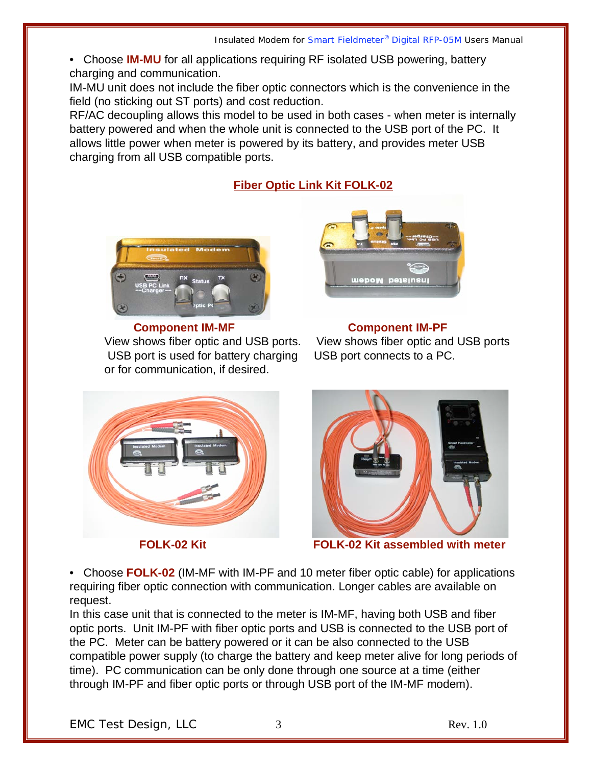• Choose **IM-MU** for all applications requiring RF isolated USB powering, battery charging and communication.

IM-MU unit does not include the fiber optic connectors which is the convenience in the field (no sticking out ST ports) and cost reduction.

RF/AC decoupling allows this model to be used in both cases - when meter is internally battery powered and when the whole unit is connected to the USB port of the PC. It allows little power when meter is powered by its battery, and provides meter USB charging from all USB compatible ports.

#### **Fiber Optic Link Kit FOLK-02**



 **Component IM-MF Component IM-PF** USB port is used for battery charging USB port connects to a PC. or for communication, if desired.



View shows fiber optic and USB ports. View shows fiber optic and USB ports





**FOLK-02 Kit FOLK-02 Kit assembled with meter**

• Choose **FOLK-02** (IM-MF with IM-PF and 10 meter fiber optic cable) for applications requiring fiber optic connection with communication. Longer cables are available on request.

In this case unit that is connected to the meter is IM-MF, having both USB and fiber optic ports. Unit IM-PF with fiber optic ports and USB is connected to the USB port of the PC. Meter can be battery powered or it can be also connected to the USB compatible power supply (to charge the battery and keep meter alive for long periods of time). PC communication can be only done through one source at a time (either through IM-PF and fiber optic ports or through USB port of the IM-MF modem).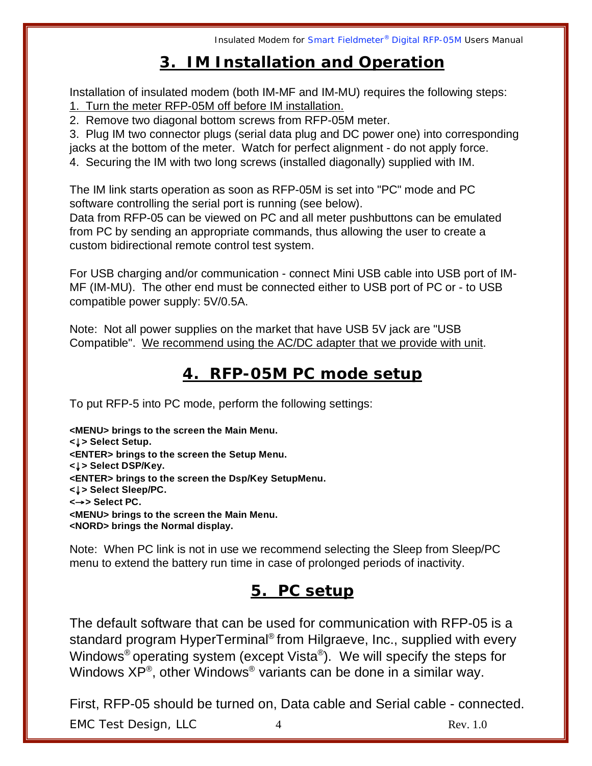#### **3. IM Installation and Operation**

Installation of insulated modem (both IM-MF and IM-MU) requires the following steps: 1. Turn the meter RFP-05M off before IM installation.

2. Remove two diagonal bottom screws from RFP-05M meter.

3. Plug IM two connector plugs (serial data plug and DC power one) into corresponding jacks at the bottom of the meter. Watch for perfect alignment - do not apply force. 4. Securing the IM with two long screws (installed diagonally) supplied with IM.

The IM link starts operation as soon as RFP-05M is set into "PC" mode and PC software controlling the serial port is running (see below).

Data from RFP-05 can be viewed on PC and all meter pushbuttons can be emulated from PC by sending an appropriate commands, thus allowing the user to create a custom bidirectional remote control test system.

For USB charging and/or communication - connect Mini USB cable into USB port of IM-MF (IM-MU). The other end must be connected either to USB port of PC or - to USB compatible power supply: 5V/0.5A.

Note: Not all power supplies on the market that have USB 5V jack are "USB Compatible". We recommend using the AC/DC adapter that we provide with unit.

#### **4. RFP-05M PC mode setup**

To put RFP-5 into PC mode, perform the following settings:

**<MENU> brings to the screen the Main Menu. <**↓**> Select Setup. <ENTER> brings to the screen the Setup Menu. <**↓**> Select DSP/Key. <ENTER> brings to the screen the Dsp/Key SetupMenu. <**↓**> Select Sleep/PC. <**→**> Select PC. <MENU> brings to the screen the Main Menu. <NORD> brings the Normal display.**

Note: When PC link is not in use we recommend selecting the Sleep from Sleep/PC menu to extend the battery run time in case of prolonged periods of inactivity.

#### **5. PC setup**

The default software that can be used for communication with RFP-05 is a standard program HyperTerminal® from Hilgraeve, Inc., supplied with every Windows® operating system (except Vista®). We will specify the steps for Windows  $XP^{\circledast}$ , other Windows<sup>®</sup> variants can be done in a similar way.

First, RFP-05 should be turned on, Data cable and Serial cable - connected.

EMC Test Design, LLC 4 Rev. 1.0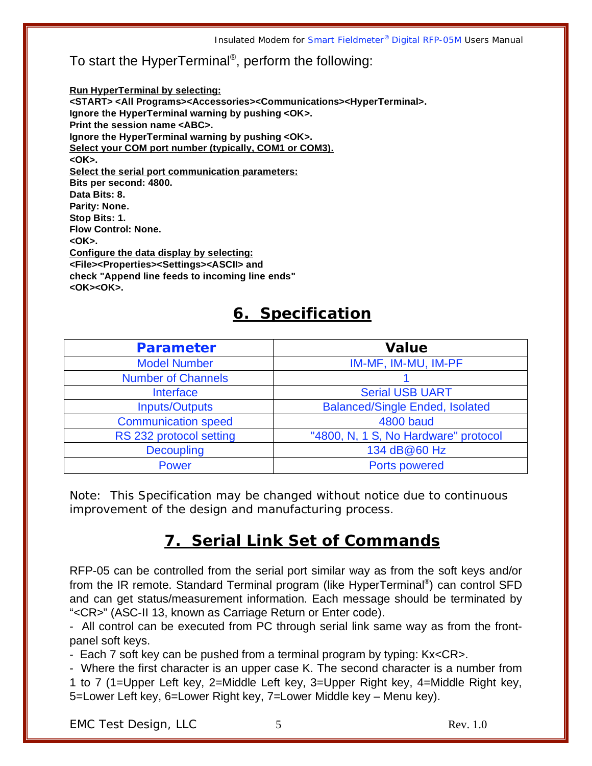#### To start the HyperTerminal®, perform the following:

**Run HyperTerminal by selecting: <START> <All Programs><Accessories><Communications><HyperTerminal>. Ignore the HyperTerminal warning by pushing <OK>. Print the session name <ABC>. Ignore the HyperTerminal warning by pushing <OK>. Select your COM port number (typically, COM1 or COM3). <OK>. Select the serial port communication parameters: Bits per second: 4800. Data Bits: 8. Parity: None. Stop Bits: 1. Flow Control: None. <OK>. Configure the data display by selecting: <File><Properties><Settings><ASCII> and check "Append line feeds to incoming line ends" <OK><OK>.**

#### **6. Specification**

| Parameter                  | Value                                  |
|----------------------------|----------------------------------------|
| <b>Model Number</b>        | IM-MF, IM-MU, IM-PF                    |
| <b>Number of Channels</b>  |                                        |
| <b>Interface</b>           | <b>Serial USB UART</b>                 |
| <b>Inputs/Outputs</b>      | <b>Balanced/Single Ended, Isolated</b> |
| <b>Communication speed</b> | <b>4800 baud</b>                       |
| RS 232 protocol setting    | "4800, N, 1 S, No Hardware" protocol   |
| <b>Decoupling</b>          | 134 dB@60 Hz                           |
| <b>Power</b>               | Ports powered                          |

*Note: This Specification may be changed without notice due to continuous improvement of the design and manufacturing process.*

#### **7. Serial Link Set of Commands**

RFP-05 can be controlled from the serial port similar way as from the soft keys and/or from the IR remote. Standard Terminal program (like HyperTerminal®) can control SFD and can get status/measurement information. Each message should be terminated by "<CR>" (ASC-II 13, known as Carriage Return or Enter code).

- All control can be executed from PC through serial link same way as from the frontpanel soft keys.

- Each 7 soft key can be pushed from a terminal program by typing: Kx<CR>.

- Where the first character is an upper case K. The second character is a number from 1 to 7 (1=Upper Left key, 2=Middle Left key, 3=Upper Right key, 4=Middle Right key, 5=Lower Left key, 6=Lower Right key, 7=Lower Middle key – Menu key).

EMC Test Design, LLC 5 5 Rev. 1.0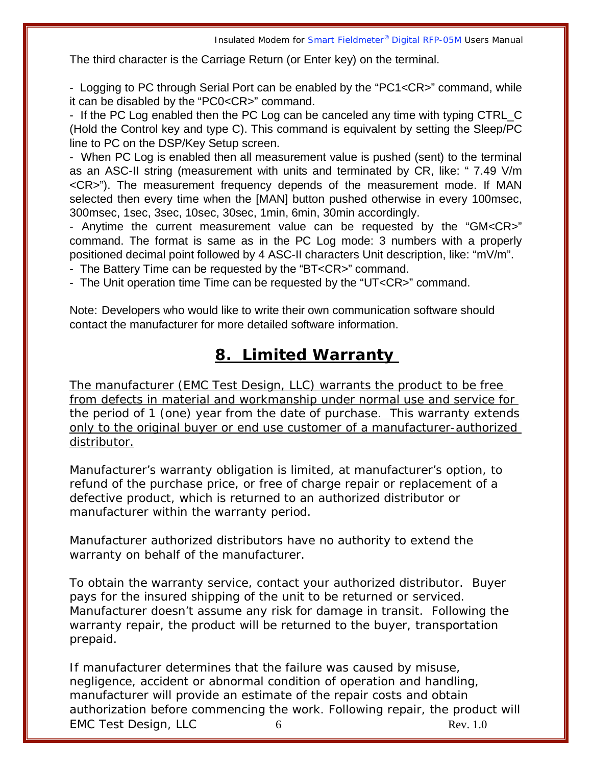The third character is the Carriage Return (or Enter key) on the terminal.

- Logging to PC through Serial Port can be enabled by the "PC1<CR>" command, while it can be disabled by the "PC0<CR>" command.

- If the PC Log enabled then the PC Log can be canceled any time with typing CTRL C (Hold the Control key and type C). This command is equivalent by setting the Sleep/PC line to PC on the DSP/Key Setup screen.

- When PC Log is enabled then all measurement value is pushed (sent) to the terminal as an ASC-II string (measurement with units and terminated by CR, like: " 7.49 V/m <CR>"). The measurement frequency depends of the measurement mode. If MAN selected then every time when the [MAN] button pushed otherwise in every 100msec, 300msec, 1sec, 3sec, 10sec, 30sec, 1min, 6min, 30min accordingly.

- Anytime the current measurement value can be requested by the "GM<CR>" command. The format is same as in the PC Log mode: 3 numbers with a properly positioned decimal point followed by 4 ASC-II characters Unit description, like: "mV/m".

- The Battery Time can be requested by the "BT<CR>" command.

- The Unit operation time Time can be requested by the "UT<CR>" command.

Note: Developers who would like to write their own communication software should contact the manufacturer for more detailed software information.

#### **8. Limited Warranty**

The manufacturer (EMC Test Design, LLC) warrants the product to be free from defects in material and workmanship under normal use and service for the period of 1 (one) year from the date of purchase. This warranty extends only to the original buyer or end use customer of a manufacturer-authorized distributor.

Manufacturer's warranty obligation is limited, at manufacturer's option, to refund of the purchase price, or free of charge repair or replacement of a defective product, which is returned to an authorized distributor or manufacturer within the warranty period.

Manufacturer authorized distributors have no authority to extend the warranty on behalf of the manufacturer.

To obtain the warranty service, contact your authorized distributor. Buyer pays for the insured shipping of the unit to be returned or serviced. Manufacturer doesn't assume any risk for damage in transit. Following the warranty repair, the product will be returned to the buyer, transportation prepaid.

EMC Test Design, LLC 6 and 6 Rev. 1.0 If manufacturer determines that the failure was caused by misuse, negligence, accident or abnormal condition of operation and handling, manufacturer will provide an estimate of the repair costs and obtain authorization before commencing the work. Following repair, the product will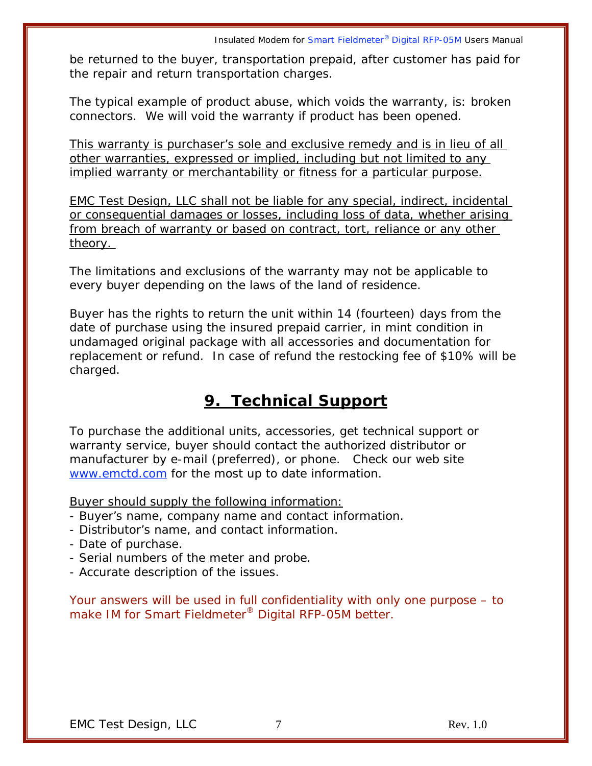be returned to the buyer, transportation prepaid, after customer has paid for the repair and return transportation charges.

The typical example of product abuse, which voids the warranty, is: broken connectors. We will void the warranty if product has been opened.

This warranty is purchaser's sole and exclusive remedy and is in lieu of all other warranties, expressed or implied, including but not limited to any implied warranty or merchantability or fitness for a particular purpose.

EMC Test Design, LLC shall not be liable for any special, indirect, incidental or consequential damages or losses, including loss of data, whether arising from breach of warranty or based on contract, tort, reliance or any other theory.

The limitations and exclusions of the warranty may not be applicable to every buyer depending on the laws of the land of residence.

Buyer has the rights to return the unit within 14 (fourteen) days from the date of purchase using the insured prepaid carrier, in mint condition in undamaged original package with all accessories and documentation for replacement or refund. In case of refund the restocking fee of \$10% will be charged.

### **9. Technical Support**

To purchase the additional units, accessories, get technical support or warranty service, buyer should contact the authorized distributor or manufacturer by e-mail (preferred), or phone. Check our web site www.emctd.com for the most up to date information.

Buyer should supply the following information:

- Buyer's name, company name and contact information.
- Distributor's name, and contact information.
- Date of purchase.
- Serial numbers of the meter and probe.
- Accurate description of the issues.

Your answers will be used in full confidentiality with only one purpose – to make IM for Smart Fieldmeter<sup>®</sup> Digital RFP-05M better.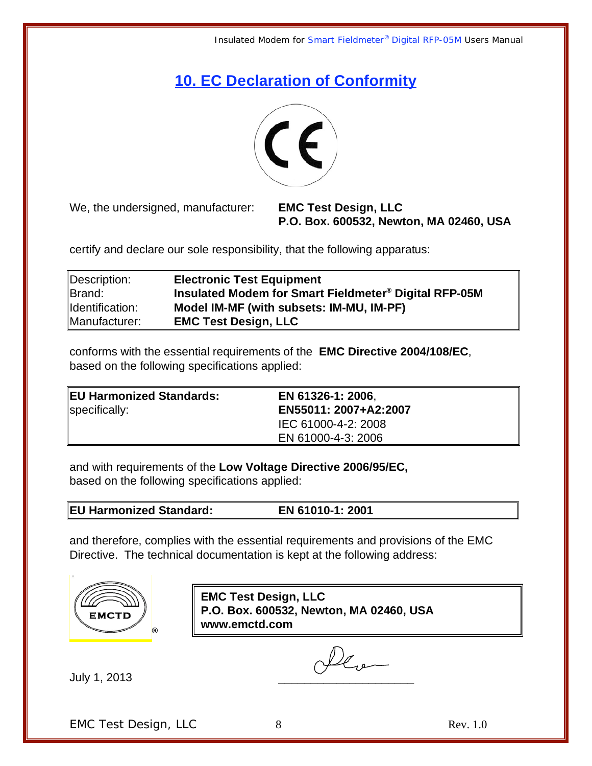### **10. EC Declaration of Conformity**



We, the undersigned, manufacturer: **EMC Test Design, LLC** 

**P.O. Box. 600532, Newton, MA 02460, USA**

certify and declare our sole responsibility, that the following apparatus:

| Description:    | <b>Electronic Test Equipment</b>                      |
|-----------------|-------------------------------------------------------|
| Brand:          | Insulated Modem for Smart Fieldmeter® Digital RFP-05M |
| Identification: | Model IM-MF (with subsets: IM-MU, IM-PF)              |
| Manufacturer:   | <b>EMC Test Design, LLC</b>                           |

conforms with the essential requirements of the **EMC Directive 2004/108/EC**, based on the following specifications applied:

| <b>EU Harmonized Standards:</b><br>specifically: | EN 61326-1: 2006.<br>EN55011: 2007+A2:2007 |
|--------------------------------------------------|--------------------------------------------|
|                                                  | IEC 61000-4-2: 2008                        |
|                                                  | EN 61000-4-3: 2006                         |

and with requirements of the **Low Voltage Directive 2006/95/EC,** based on the following specifications applied:

**EU Harmonized Standard: EN 61010-1: 2001** 

and therefore, complies with the essential requirements and provisions of the EMC Directive.The technical documentation is kept at the following address:



**EMC Test Design, LLC P.O. Box. 600532, Newton, MA 02460, USA www.emctd.com**

July 1, 2013

leve

EMC Test Design, LLC 8 8 Rev. 1.0